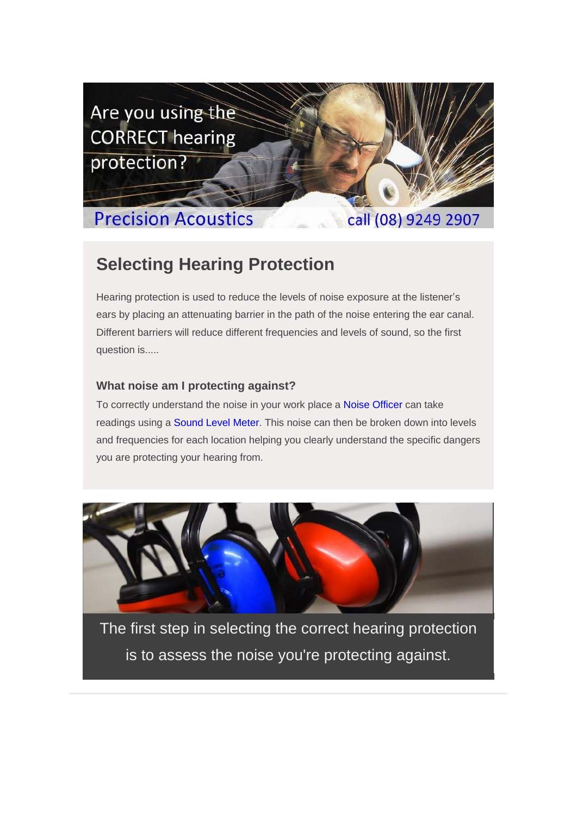

## **Precision Acoustics**

call (08) 9249 2907

## **Selecting Hearing Protection**

Hearing protection is used to reduce the levels of noise exposure at the listener's ears by placing an attenuating barrier in the path of the noise entering the ear canal. Different barriers will reduce different frequencies and levels of sound, so the first question is.....

### **What noise am I protecting against?**

To correctly understand the noise in your work place a [Noise Officer](http://www.precision-acoustics.com.au/services/noise-surveys) can take readings using a [Sound Level Meter.](http://www.precision-acoustics.com.au/equipment/sound-level-meters) This noise can then be broken down into levels and frequencies for each location helping you clearly understand the specific dangers you are protecting your hearing from.



The first step in selecting the correct hearing protection is to assess the noise you're protecting against.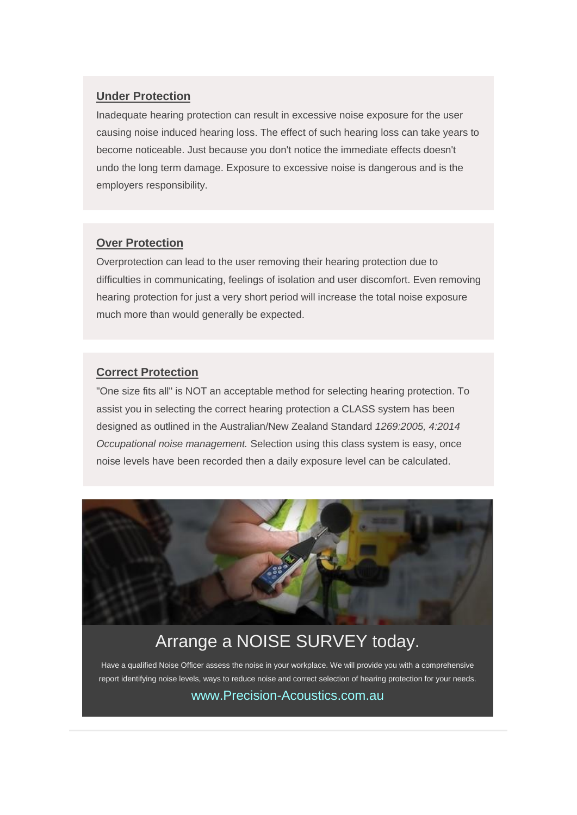#### **Under Protection**

Inadequate hearing protection can result in excessive noise exposure for the user causing noise induced hearing loss. The effect of such hearing loss can take years to become noticeable. Just because you don't notice the immediate effects doesn't undo the long term damage. Exposure to excessive noise is dangerous and is the employers responsibility.

#### **Over Protection**

Overprotection can lead to the user removing their hearing protection due to difficulties in communicating, feelings of isolation and user discomfort. Even removing hearing protection for just a very short period will increase the total noise exposure much more than would generally be expected.

#### **Correct Protection**

"One size fits all" is NOT an acceptable method for selecting hearing protection. To assist you in selecting the correct hearing protection a CLASS system has been designed as outlined in the Australian/New Zealand Standard *1269:2005, 4:2014 Occupational noise management.* Selection using this class system is easy, once noise levels have been recorded then a daily exposure level can be calculated.



## Arrange a NOISE SURVEY today.

Have a qualified Noise Officer assess the noise in your workplace. We will provide you with a comprehensive report identifying noise levels, ways to reduce noise and correct selection of hearing protection for your needs. [www.Precision-Acoustics.com.au](http://www.precision-acoustics.com.au/contact).